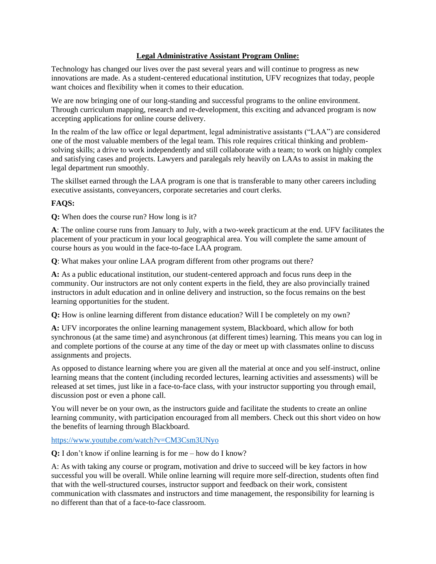## **Legal Administrative Assistant Program Online:**

Technology has changed our lives over the past several years and will continue to progress as new innovations are made. As a student-centered educational institution, UFV recognizes that today, people want choices and flexibility when it comes to their education.

We are now bringing one of our long-standing and successful programs to the online environment. Through curriculum mapping, research and re-development, this exciting and advanced program is now accepting applications for online course delivery.

In the realm of the law office or legal department, legal administrative assistants ("LAA") are considered one of the most valuable members of the legal team. This role requires critical thinking and problemsolving skills; a drive to work independently and still collaborate with a team; to work on highly complex and satisfying cases and projects. Lawyers and paralegals rely heavily on LAAs to assist in making the legal department run smoothly.

The skillset earned through the LAA program is one that is transferable to many other careers including executive assistants, conveyancers, corporate secretaries and court clerks.

## **FAQS:**

**Q:** When does the course run? How long is it?

**A**: The online course runs from January to July, with a two-week practicum at the end. UFV facilitates the placement of your practicum in your local geographical area. You will complete the same amount of course hours as you would in the face-to-face LAA program.

**Q**: What makes your online LAA program different from other programs out there?

**A:** As a public educational institution, our student-centered approach and focus runs deep in the community. Our instructors are not only content experts in the field, they are also provincially trained instructors in adult education and in online delivery and instruction, so the focus remains on the best learning opportunities for the student.

**Q:** How is online learning different from distance education? Will I be completely on my own?

**A:** UFV incorporates the online learning management system, Blackboard, which allow for both synchronous (at the same time) and asynchronous (at different times) learning. This means you can log in and complete portions of the course at any time of the day or meet up with classmates online to discuss assignments and projects.

As opposed to distance learning where you are given all the material at once and you self-instruct, online learning means that the content (including recorded lectures, learning activities and assessments) will be released at set times, just like in a face-to-face class, with your instructor supporting you through email, discussion post or even a phone call.

You will never be on your own, as the instructors guide and facilitate the students to create an online learning community, with participation encouraged from all members. Check out this short video on how the benefits of learning through Blackboard.

<https://www.youtube.com/watch?v=CM3Csm3UNyo>

**Q:** I don't know if online learning is for me – how do I know?

A: As with taking any course or program, motivation and drive to succeed will be key factors in how successful you will be overall. While online learning will require more self-direction, students often find that with the well-structured courses, instructor support and feedback on their work, consistent communication with classmates and instructors and time management, the responsibility for learning is no different than that of a face-to-face classroom.